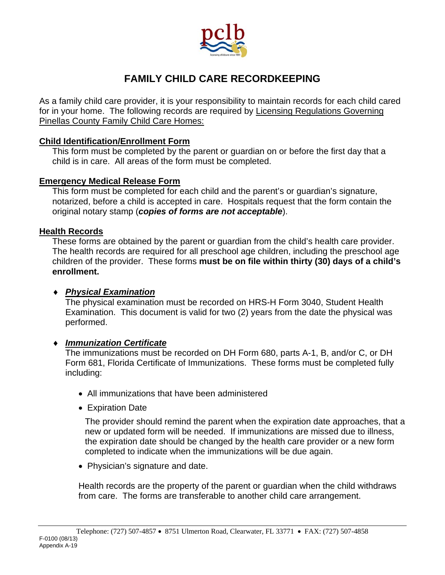

# **FAMILY CHILD CARE RECORDKEEPING**

As a family child care provider, it is your responsibility to maintain records for each child cared for in your home. The following records are required by Licensing Regulations Governing Pinellas County Family Child Care Homes:

## **Child Identification/Enrollment Form**

 This form must be completed by the parent or guardian on or before the first day that a child is in care. All areas of the form must be completed.

### **Emergency Medical Release Form**

This form must be completed for each child and the parent's or guardian's signature, notarized, before a child is accepted in care. Hospitals request that the form contain the original notary stamp (*copies of forms are not acceptable*).

#### **Health Records**

These forms are obtained by the parent or guardian from the child's health care provider. The health records are required for all preschool age children, including the preschool age children of the provider. These forms **must be on file within thirty (30) days of a child's enrollment.**

## *Physical Examination*

The physical examination must be recorded on HRS-H Form 3040, Student Health Examination. This document is valid for two (2) years from the date the physical was performed.

## *Immunization Certificate*

The immunizations must be recorded on DH Form 680, parts A-1, B, and/or C, or DH Form 681, Florida Certificate of Immunizations. These forms must be completed fully including:

- All immunizations that have been administered
- Expiration Date

The provider should remind the parent when the expiration date approaches, that a new or updated form will be needed. If immunizations are missed due to illness, the expiration date should be changed by the health care provider or a new form completed to indicate when the immunizations will be due again.

• Physician's signature and date.

Health records are the property of the parent or guardian when the child withdraws from care. The forms are transferable to another child care arrangement.